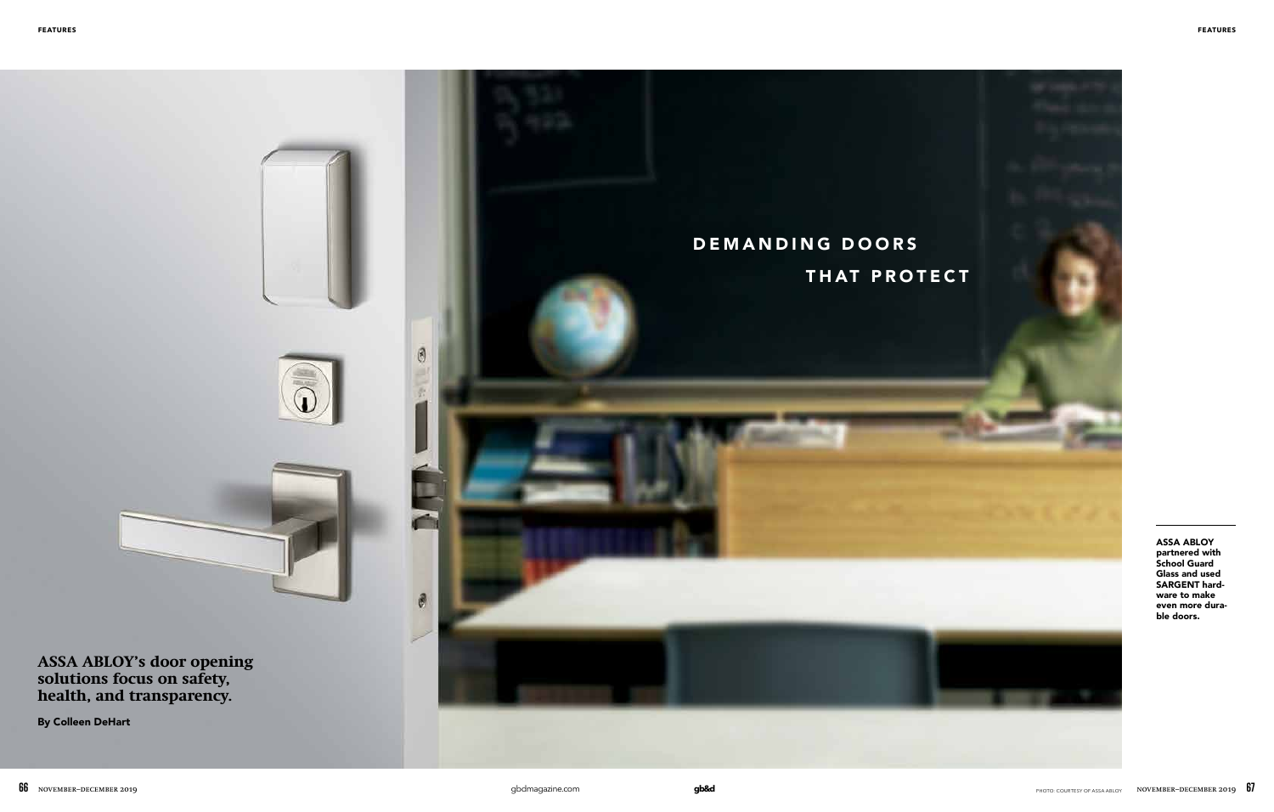#### **FEATURES FEATURES**



ASSA ABLOY partnered with School Guard Glass and used SARGENT hardware to make even more durable doors.